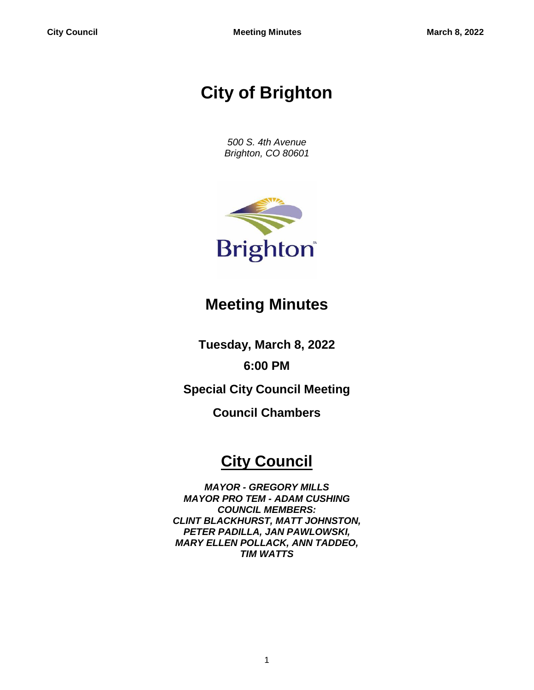# **City of Brighton**

*500 S. 4th Avenue Brighton, CO 80601*



## **Meeting Minutes**

**Tuesday, March 8, 2022**

**6:00 PM**

**Special City Council Meeting**

**Council Chambers**

## **City Council**

*MAYOR - GREGORY MILLS MAYOR PRO TEM - ADAM CUSHING COUNCIL MEMBERS: CLINT BLACKHURST, MATT JOHNSTON, PETER PADILLA, JAN PAWLOWSKI, MARY ELLEN POLLACK, ANN TADDEO, TIM WATTS*